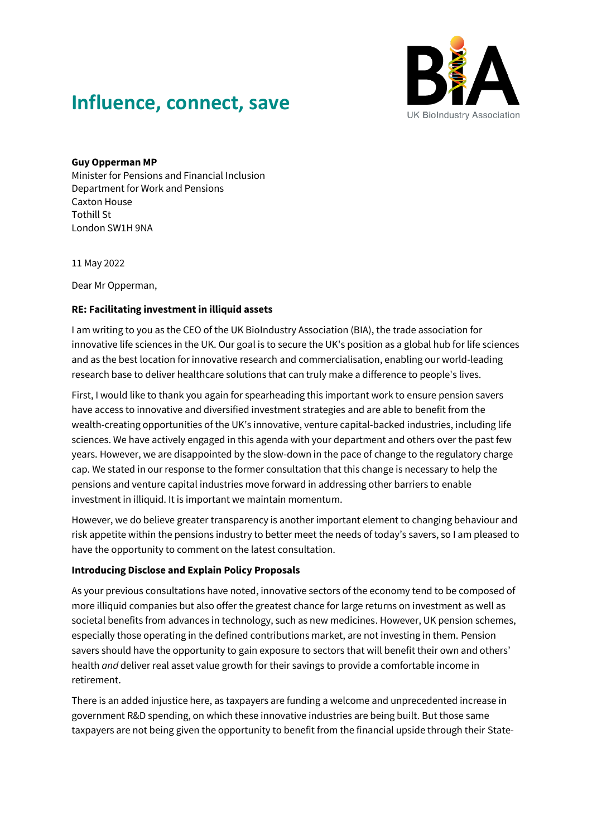

## **Influence, connect, save**

## **Guy Opperman MP**

Minister for Pensions and Financial Inclusion Department for Work and Pensions Caxton House Tothill St London SW1H 9NA

11 May 2022

Dear Mr Opperman,

## **RE: Facilitating investment in illiquid assets**

I am writing to you as the CEO of the UK BioIndustry Association (BIA), the trade association for innovative life sciences in the UK. Our goal is to secure the UK's position as a global hub for life sciences and as the best location for innovative research and commercialisation, enabling our world-leading research base to deliver healthcare solutions that can truly make a difference to people's lives.

First, I would like to thank you again for spearheading this important work to ensure pension savers have access to innovative and diversified investment strategies and are able to benefit from the wealth-creating opportunities of the UK's innovative, venture capital-backed industries, including life sciences. We have actively engaged in this agenda with your department and others over the past few years. However, we are disappointed by the slow-down in the pace of change to the regulatory charge cap. We stated in our response to the former consultation that this change is necessary to help the pensions and venture capital industries move forward in addressing other barriers to enable investment in illiquid. It is important we maintain momentum.

However, we do believe greater transparency is another important element to changing behaviour and risk appetite within the pensions industry to better meet the needs of today's savers, so I am pleased to have the opportunity to comment on the latest consultation.

## **Introducing Disclose and Explain Policy Proposals**

As your previous consultations have noted, innovative sectors of the economy tend to be composed of more illiquid companies but also offer the greatest chance for large returns on investment as well as societal benefits from advances in technology, such as new medicines. However, UK pension schemes, especially those operating in the defined contributions market, are not investing in them. Pension savers should have the opportunity to gain exposure to sectors that will benefit their own and others' health *and* deliver real asset value growth for their savings to provide a comfortable income in retirement.

There is an added injustice here, as taxpayers are funding a welcome and unprecedented increase in government R&D spending, on which these innovative industries are being built. But those same taxpayers are not being given the opportunity to benefit from the financial upside through their State